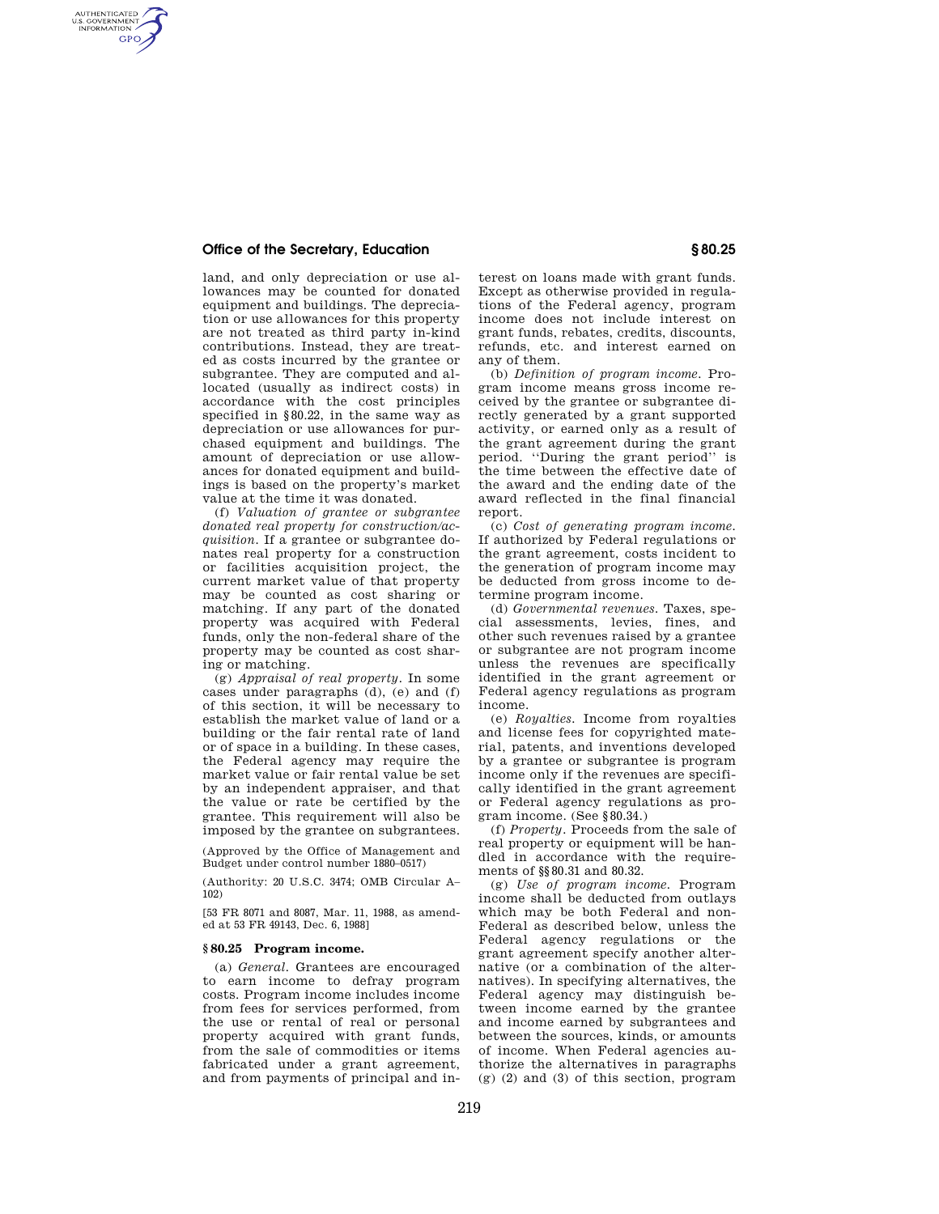## **Office of the Secretary, Education § 80.25**

AUTHENTICATED<br>U.S. GOVERNMENT<br>INFORMATION **GPO** 

> land, and only depreciation or use allowances may be counted for donated equipment and buildings. The depreciation or use allowances for this property are not treated as third party in-kind contributions. Instead, they are treated as costs incurred by the grantee or subgrantee. They are computed and allocated (usually as indirect costs) in accordance with the cost principles specified in §80.22, in the same way as depreciation or use allowances for purchased equipment and buildings. The amount of depreciation or use allowances for donated equipment and buildings is based on the property's market value at the time it was donated.

> (f) *Valuation of grantee or subgrantee donated real property for construction/acquisition.* If a grantee or subgrantee donates real property for a construction or facilities acquisition project, the current market value of that property may be counted as cost sharing or matching. If any part of the donated property was acquired with Federal funds, only the non-federal share of the property may be counted as cost sharing or matching.

> (g) *Appraisal of real property.* In some cases under paragraphs (d), (e) and (f) of this section, it will be necessary to establish the market value of land or a building or the fair rental rate of land or of space in a building. In these cases, the Federal agency may require the market value or fair rental value be set by an independent appraiser, and that the value or rate be certified by the grantee. This requirement will also be imposed by the grantee on subgrantees.

> (Approved by the Office of Management and Budget under control number 1880–0517)

> (Authority: 20 U.S.C. 3474; OMB Circular A– 102)

> [53 FR 8071 and 8087, Mar. 11, 1988, as amended at 53 FR 49143, Dec. 6, 1988]

## **§ 80.25 Program income.**

(a) *General.* Grantees are encouraged to earn income to defray program costs. Program income includes income from fees for services performed, from the use or rental of real or personal property acquired with grant funds, from the sale of commodities or items fabricated under a grant agreement, and from payments of principal and in-

terest on loans made with grant funds. Except as otherwise provided in regulations of the Federal agency, program income does not include interest on grant funds, rebates, credits, discounts, refunds, etc. and interest earned on any of them.

(b) *Definition of program income.* Program income means gross income received by the grantee or subgrantee directly generated by a grant supported activity, or earned only as a result of the grant agreement during the grant period. ''During the grant period'' is the time between the effective date of the award and the ending date of the award reflected in the final financial report.

(c) *Cost of generating program income.*  If authorized by Federal regulations or the grant agreement, costs incident to the generation of program income may be deducted from gross income to determine program income.

(d) *Governmental revenues.* Taxes, special assessments, levies, fines, and other such revenues raised by a grantee or subgrantee are not program income unless the revenues are specifically identified in the grant agreement or Federal agency regulations as program income.

(e) *Royalties.* Income from royalties and license fees for copyrighted material, patents, and inventions developed by a grantee or subgrantee is program income only if the revenues are specifically identified in the grant agreement or Federal agency regulations as program income. (See §80.34.)

(f) *Property.* Proceeds from the sale of real property or equipment will be handled in accordance with the requirements of §§80.31 and 80.32.

(g) *Use of program income.* Program income shall be deducted from outlays which may be both Federal and non-Federal as described below, unless the Federal agency regulations or the grant agreement specify another alternative (or a combination of the alternatives). In specifying alternatives, the Federal agency may distinguish between income earned by the grantee and income earned by subgrantees and between the sources, kinds, or amounts of income. When Federal agencies authorize the alternatives in paragraphs (g) (2) and (3) of this section, program